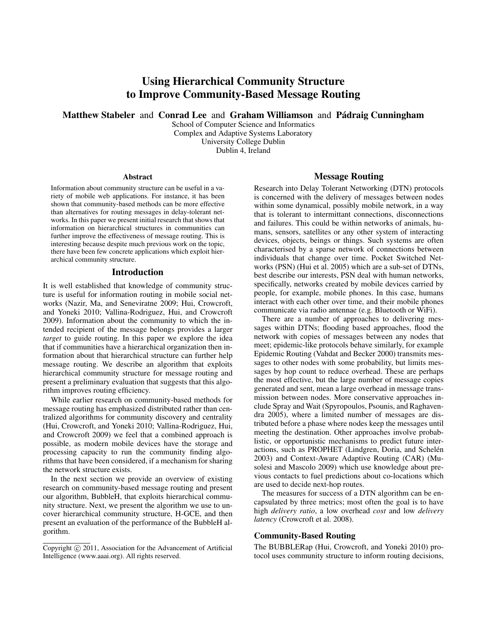# Using Hierarchical Community Structure to Improve Community-Based Message Routing

Matthew Stabeler and Conrad Lee and Graham Williamson and Pádraig Cunningham

School of Computer Science and Informatics Complex and Adaptive Systems Laboratory University College Dublin Dublin 4, Ireland

#### Abstract

Information about community structure can be useful in a variety of mobile web applications. For instance, it has been shown that community-based methods can be more effective than alternatives for routing messages in delay-tolerant networks. In this paper we present initial research that shows that information on hierarchical structures in communities can further improve the effectiveness of message routing. This is interesting because despite much previous work on the topic, there have been few concrete applications which exploit hierarchical community structure.

## Introduction

It is well established that knowledge of community structure is useful for information routing in mobile social networks (Nazir, Ma, and Seneviratne 2009; Hui, Crowcroft, and Yoneki 2010; Vallina-Rodriguez, Hui, and Crowcroft 2009). Information about the community to which the intended recipient of the message belongs provides a larger *target* to guide routing. In this paper we explore the idea that if communities have a hierarchical organization then information about that hierarchical structure can further help message routing. We describe an algorithm that exploits hierarchical community structure for message routing and present a preliminary evaluation that suggests that this algorithm improves routing efficiency.

While earlier research on community-based methods for message routing has emphasized distributed rather than centralized algorithms for community discovery and centrality (Hui, Crowcroft, and Yoneki 2010; Vallina-Rodriguez, Hui, and Crowcroft 2009) we feel that a combined approach is possible, as modern mobile devices have the storage and processing capacity to run the community finding algorithms that have been considered, if a mechanism for sharing the network structure exists.

In the next section we provide an overview of existing research on community-based message routing and present our algorithm, BubbleH, that exploits hierarchical community structure. Next, we present the algorithm we use to uncover hierarchical community structure, H-GCE, and then present an evaluation of the performance of the BubbleH algorithm.

## Message Routing

Research into Delay Tolerant Networking (DTN) protocols is concerned with the delivery of messages between nodes within some dynamical, possibly mobile network, in a way that is tolerant to intermittant connections, disconnections and failures. This could be within networks of animals, humans, sensors, satellites or any other system of interacting devices, objects, beings or things. Such systems are often characterised by a sparse network of connections between individuals that change over time. Pocket Switched Networks (PSN) (Hui et al. 2005) which are a sub-set of DTNs, best describe our interests, PSN deal with human networks, specifically, networks created by mobile devices carried by people, for example, mobile phones. In this case, humans interact with each other over time, and their mobile phones communicate via radio antennae (e.g. Bluetooth or WiFi).

There are a number of approaches to delivering messages within DTNs; flooding based approaches, flood the network with copies of messages between any nodes that meet; epidemic-like protocols behave similarly, for example Epidemic Routing (Vahdat and Becker 2000) transmits messages to other nodes with some probability, but limits messages by hop count to reduce overhead. These are perhaps the most effective, but the large number of message copies generated and sent, mean a large overhead in message transmission between nodes. More conservative approaches include Spray and Wait (Spyropoulos, Psounis, and Raghavendra 2005), where a limited number of messages are distributed before a phase where nodes keep the messages until meeting the destination. Other approaches involve probablistic, or opportunistic mechanisms to predict future interactions, such as PROPHET (Lindgren, Doria, and Schelén 2003) and Context-Aware Adaptive Routing (CAR) (Musolesi and Mascolo 2009) which use knowledge about previous contacts to fuel predictions about co-locations which are used to decide next-hop routes.

The measures for success of a DTN algorithm can be encapsulated by three metrics; most often the goal is to have high *delivery ratio*, a low overhead *cost* and low *delivery latency* (Crowcroft et al. 2008).

#### Community-Based Routing

The BUBBLERap (Hui, Crowcroft, and Yoneki 2010) protocol uses community structure to inform routing decisions,

Copyright (c) 2011, Association for the Advancement of Artificial Intelligence (www.aaai.org). All rights reserved.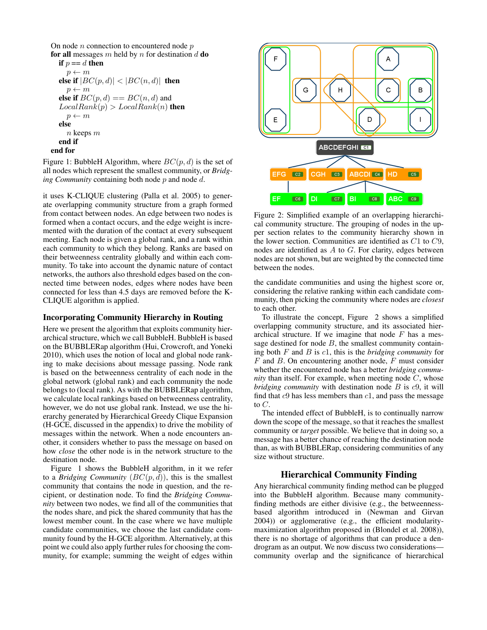```
On node n connection to encountered node pfor all messages m held by n for destination d \, \mathbf{do}if p == d then
   p \leftarrow melse if |BC(p, d)| < |BC(n, d)| then
   p \leftarrow melse if BC(p, d) == BC(n, d) and
LocalRank(p) > LocalRank(n) then
   p \leftarrow m
```
else  $n$  keeps  $m$ end if

end for

Figure 1: BubbleH Algorithm, where  $BC(p, d)$  is the set of all nodes which represent the smallest community, or *Bridging Community* containing both node  $p$  and node  $d$ .

it uses K-CLIQUE clustering (Palla et al. 2005) to generate overlapping community structure from a graph formed from contact between nodes. An edge between two nodes is formed when a contact occurs, and the edge weight is incremented with the duration of the contact at every subsequent meeting. Each node is given a global rank, and a rank within each community to which they belong. Ranks are based on their betweenness centrality globally and within each community. To take into account the dynamic nature of contact networks, the authors also threshold edges based on the connected time between nodes, edges where nodes have been connected for less than 4.5 days are removed before the K-CLIQUE algorithm is applied.

## Incorporating Community Hierarchy in Routing

Here we present the algorithm that exploits community hierarchical structure, which we call BubbleH. BubbleH is based on the BUBBLERap algorithm (Hui, Crowcroft, and Yoneki 2010), which uses the notion of local and global node ranking to make decisions about message passing. Node rank is based on the betweenness centrality of each node in the global network (global rank) and each community the node belongs to (local rank). As with the BUBBLERap algorithm, we calculate local rankings based on betweenness centrality, however, we do not use global rank. Instead, we use the hierarchy generated by Hierarchical Greedy Clique Expansion (H-GCE, discussed in the appendix) to drive the mobility of messages within the network. When a node encounters another, it considers whether to pass the message on based on how *close* the other node is in the network structure to the destination node.

Figure 1 shows the BubbleH algorithm, in it we refer to a *Bridging Community*  $(BC(p, d))$ , this is the smallest community that contains the node in question, and the recipient, or destination node. To find the *Bridging Community* between two nodes, we find all of the communities that the nodes share, and pick the shared community that has the lowest member count. In the case where we have multiple candidate communities, we choose the last candidate community found by the H-GCE algorithm. Alternatively, at this point we could also apply further rules for choosing the community, for example; summing the weight of edges within



Figure 2: Simplified example of an overlapping hierarchical community structure. The grouping of nodes in the upper section relates to the community hierarchy shown in the lower section. Communities are identified as  $C1$  to  $C9$ , nodes are identified as A to G. For clarity, edges between nodes are not shown, but are weighted by the connected time between the nodes.

the candidate communities and using the highest score or, considering the relative ranking within each candidate community, then picking the community where nodes are *closest* to each other.

To illustrate the concept, Figure 2 shows a simplified overlapping community structure, and its associated hierarchical structure. If we imagine that node  $F$  has a message destined for node  $B$ , the smallest community containing both F and B is c1, this is the *bridging community* for  $F$  and  $B$ . On encountering another node,  $F$  must consider whether the encountered node has a better *bridging community* than itself. For example, when meeting node C, whose *bridging community* with destination node  $B$  is  $c9$ , it will find that  $c9$  has less members than  $c1$ , and pass the message to  $C$ .

The intended effect of BubbleH, is to continually narrow down the scope of the message, so that it reaches the smallest community or *target* possible. We believe that in doing so, a message has a better chance of reaching the destination node than, as with BUBBLERap, considering communities of any size without structure.

## Hierarchical Community Finding

Any hierarchical community finding method can be plugged into the BubbleH algorithm. Because many communityfinding methods are either divisive (e.g., the betweennessbased algorithm introduced in (Newman and Girvan 2004)) or agglomerative (e.g., the efficient modularitymaximization algorithm proposed in (Blondel et al. 2008)), there is no shortage of algorithms that can produce a dendrogram as an output. We now discuss two considerations community overlap and the significance of hierarchical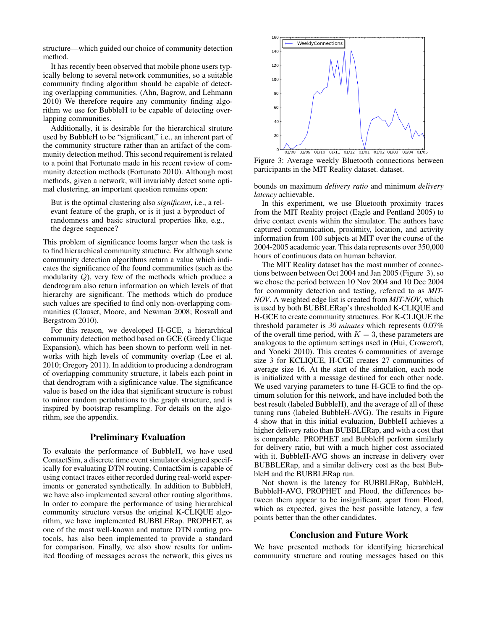structure—which guided our choice of community detection method.

It has recently been observed that mobile phone users typically belong to several network communities, so a suitable community finding algorithm should be capable of detecting overlapping communities. (Ahn, Bagrow, and Lehmann 2010) We therefore require any community finding algorithm we use for BubbleH to be capable of detecting overlapping communities.

Additionally, it is desirable for the hierarchical struture used by BubbleH to be "significant," i.e., an inherent part of the community structure rather than an artifact of the community detection method. This second requirement is related to a point that Fortunato made in his recent review of community detection methods (Fortunato 2010). Although most methods, given a network, will invariably detect some optimal clustering, an important question remains open:

But is the optimal clustering also *significant*, i.e., a relevant feature of the graph, or is it just a byproduct of randomness and basic structural properties like, e.g., the degree sequence?

This problem of significance looms larger when the task is to find hierarchical community structure. For although some community detection algorithms return a value which indicates the significance of the found communities (such as the modularity Q), very few of the methods which produce a dendrogram also return information on which levels of that hierarchy are significant. The methods which do produce such values are specified to find only non-overlapping communities (Clauset, Moore, and Newman 2008; Rosvall and Bergstrom 2010).

For this reason, we developed H-GCE, a hierarchical community detection method based on GCE (Greedy Clique Expansion), which has been shown to perform well in networks with high levels of community overlap (Lee et al. 2010; Gregory 2011). In addition to producing a dendrogram of overlapping community structure, it labels each point in that dendrogram with a sigfinicance value. The significance value is based on the idea that significant structure is robust to minor random pertubations to the graph structure, and is inspired by bootstrap resampling. For details on the algorithm, see the appendix.

## Preliminary Evaluation

To evaluate the performance of BubbleH, we have used ContactSim, a discrete time event simulator designed specifically for evaluating DTN routing. ContactSim is capable of using contact traces either recorded during real-world experiments or generated synthetically. In addition to BubbleH, we have also implemented several other routing algorithms. In order to compare the performance of using hierarchical community structure versus the original K-CLIQUE algorithm, we have implemented BUBBLERap. PROPHET, as one of the most well-known and mature DTN routing protocols, has also been implemented to provide a standard for comparison. Finally, we also show results for unlimited flooding of messages across the network, this gives us



Figure 3: Average weekly Bluetooth connections between participants in the MIT Reality dataset. dataset.

bounds on maximum *delivery ratio* and minimum *delivery latency* achievable.

In this experiment, we use Bluetooth proximity traces from the MIT Reality project (Eagle and Pentland 2005) to drive contact events within the simulator. The authors have captured communication, proximity, location, and activity information from 100 subjects at MIT over the course of the 2004-2005 academic year. This data represents over 350,000 hours of continuous data on human behavior.

The MIT Reality dataset has the most number of connections between between Oct 2004 and Jan 2005 (Figure 3), so we chose the period between 10 Nov 2004 and 10 Dec 2004 for community detection and testing, referred to as *MIT-NOV*. A weighted edge list is created from *MIT-NOV*, which is used by both BUBBLERap's thresholded K-CLIQUE and H-GCE to create community structures. For K-CLIQUE the threshold parameter is *30 minutes* which represents 0.07% of the overall time period, with  $K = 3$ , these parameters are analogous to the optimum settings used in (Hui, Crowcroft, and Yoneki 2010). This creates 6 communities of average size 3 for KCLIQUE, H-CGE creates 27 communities of average size 16. At the start of the simulation, each node is initialized with a message destined for each other node. We used varying parameters to tune H-GCE to find the optimum solution for this network, and have included both the best result (labeled BubbleH), and the average of all of these tuning runs (labeled BubbleH-AVG). The results in Figure 4 show that in this initial evaluation, BubbleH achieves a higher delivery ratio than BUBBLERap, and with a cost that is comparable. PROPHET and BubbleH perform similarly for delivery ratio, but with a much higher cost associated with it. BubbleH-AVG shows an increase in delivery over BUBBLERap, and a similar delivery cost as the best BubbleH and the BUBBLERap run.

Not shown is the latency for BUBBLERap, BubbleH, BubbleH-AVG, PROPHET and Flood, the differences between them appear to be insignificant, apart from Flood, which as expected, gives the best possible latency, a few points better than the other candidates.

#### Conclusion and Future Work

We have presented methods for identifying hierarchical community structure and routing messages based on this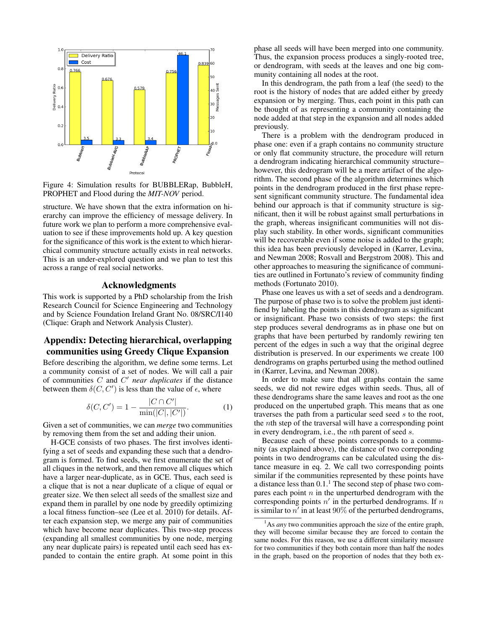

Figure 4: Simulation results for BUBBLERap, BubbleH, PROPHET and Flood during the *MIT-NOV* period.

structure. We have shown that the extra information on hierarchy can improve the efficiency of message delivery. In future work we plan to perform a more comprehensive evaluation to see if these improvements hold up. A key question for the significance of this work is the extent to which hierarchical community structure actually exists in real networks. This is an under-explored question and we plan to test this across a range of real social networks.

## Acknowledgments

This work is supported by a PhD scholarship from the Irish Research Council for Science Engineering and Technology and by Science Foundation Ireland Grant No. 08/SRC/I140 (Clique: Graph and Network Analysis Cluster).

## Appendix: Detecting hierarchical, overlapping communities using Greedy Clique Expansion

Before describing the algorithm, we define some terms. Let a community consist of a set of nodes. We will call a pair of communities C and C <sup>0</sup> *near duplicates* if the distance between them  $\delta(C, C')$  is less than the value of  $\epsilon$ , where

$$
\delta(C, C') = 1 - \frac{|C \cap C'|}{\min(|C|, |C'|)}.
$$
 (1)

Given a set of communities, we can *merge* two communities by removing them from the set and adding their union.

H-GCE consists of two phases. The first involves identifying a set of seeds and expanding these such that a dendrogram is formed. To find seeds, we first enumerate the set of all cliques in the network, and then remove all cliques which have a larger near-duplicate, as in GCE. Thus, each seed is a clique that is not a near duplicate of a clique of equal or greater size. We then select all seeds of the smallest size and expand them in parallel by one node by greedily optimizing a local fitness function–see (Lee et al. 2010) for details. After each expansion step, we merge any pair of communities which have become near duplicates. This two-step process (expanding all smallest communities by one node, merging any near duplicate pairs) is repeated until each seed has expanded to contain the entire graph. At some point in this phase all seeds will have been merged into one community. Thus, the expansion process produces a singly-rooted tree, or dendrogram, with seeds at the leaves and one big community containing all nodes at the root.

In this dendrogram, the path from a leaf (the seed) to the root is the history of nodes that are added either by greedy expansion or by merging. Thus, each point in this path can be thought of as representing a community containing the node added at that step in the expansion and all nodes added previously.

There is a problem with the dendrogram produced in phase one: even if a graph contains no community structure or only flat community structure, the procedure will return a dendrogram indicating hierarchical community structure– however, this dedrogram will be a mere artifact of the algorithm. The second phase of the algorithm determines which points in the dendrogram produced in the first phase represent significant community structure. The fundamental idea behind our approach is that if community structure is significant, then it will be robust against small perturbations in the graph, whereas insignificant communities will not display such stability. In other words, significant communities will be recoverable even if some noise is added to the graph; this idea has been previously developed in (Karrer, Levina, and Newman 2008; Rosvall and Bergstrom 2008). This and other approaches to measuring the significance of communities are outlined in Fortunato's review of community finding methods (Fortunato 2010).

Phase one leaves us with a set of seeds and a dendrogram. The purpose of phase two is to solve the problem just identifiend by labeling the points in this dendrogram as significant or insignificant. Phase two consists of two steps: the first step produces several dendrograms as in phase one but on graphs that have been perturbed by randomly rewiring ten percent of the edges in such a way that the original degree distribution is preserved. In our experiments we create 100 dendrograms on graphs perturbed using the method outlined in (Karrer, Levina, and Newman 2008).

In order to make sure that all graphs contain the same seeds, we did not rewire edges within seeds. Thus, all of these dendrograms share the same leaves and root as the one produced on the unpertubed graph. This means that as one traverses the path from a particular seed seed s to the root, the nth step of the traversal will have a corresponding point in every dendrogram, i.e., the nth parent of seed s.

Because each of these points corresponds to a community (as explained above), the distance of two correponding points in two dendrograms can be calculated using the distance measure in eq. 2. We call two corresponding points similar if the communities represented by these points have a distance less than  $0.1<sup>1</sup>$ . The second step of phase two compares each point  $n$  in the unperturbed dendrogram with the corresponding points  $n'$  in the perturbed dendrograms. If n is similar to  $n'$  in at least 90% of the perturbed dendrograms,

<sup>&</sup>lt;sup>1</sup>As *any* two communities approach the size of the entire graph, they will become similar because they are forced to contain the same nodes. For this reason, we use a different similarity measure for two communities if they both contain more than half the nodes in the graph, based on the proportion of nodes that they both ex-